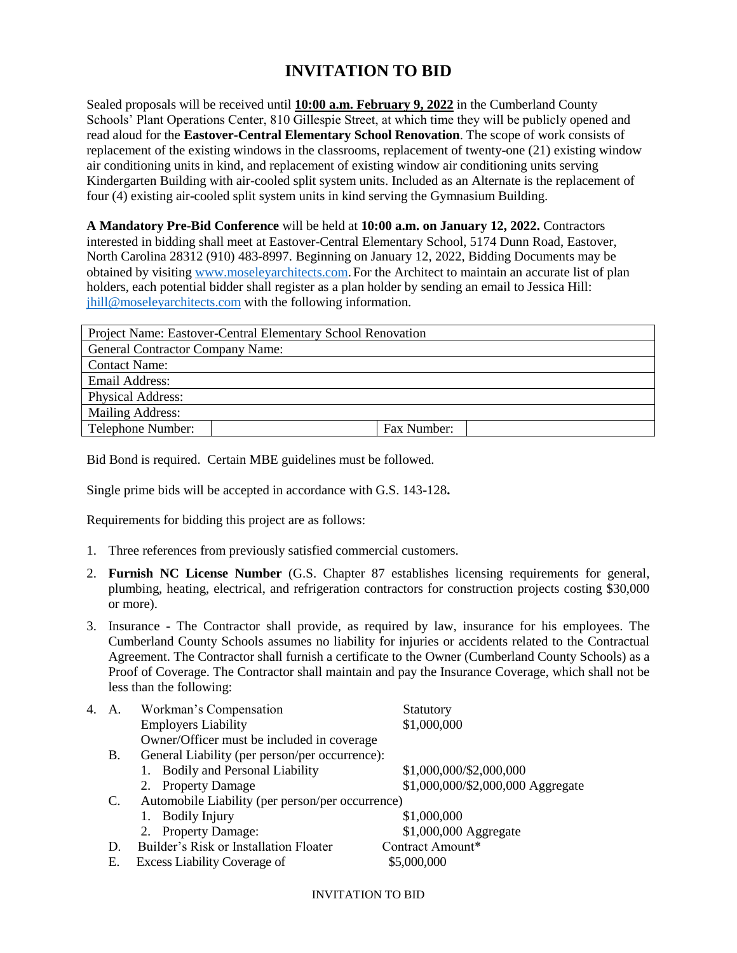## **INVITATION TO BID**

Sealed proposals will be received until **10:00 a.m. February 9, 2022** in the Cumberland County Schools' Plant Operations Center, 810 Gillespie Street, at which time they will be publicly opened and read aloud for the **Eastover-Central Elementary School Renovation**. The scope of work consists of replacement of the existing windows in the classrooms, replacement of twenty-one (21) existing window air conditioning units in kind, and replacement of existing window air conditioning units serving Kindergarten Building with air-cooled split system units. Included as an Alternate is the replacement of four (4) existing air-cooled split system units in kind serving the Gymnasium Building.

**A Mandatory Pre-Bid Conference** will be held at **10:00 a.m. on January 12, 2022.** Contractors interested in bidding shall meet at Eastover-Central Elementary School, 5174 Dunn Road, Eastover, North Carolina 28312 (910) 483-8997. Beginning on January 12, 2022, Bidding Documents may be obtained by visiting [www.moseleyarchitects.com.](http://www.moseleyarchitects.com/) For the Architect to maintain an accurate list of plan holders, each potential bidder shall register as a plan holder by sending an email to Jessica Hill: [jhill@moseleyarchitects.com](mailto:jhill@moseleyarchitects.com) with the following information.

| Project Name: Eastover-Central Elementary School Renovation |             |  |  |  |
|-------------------------------------------------------------|-------------|--|--|--|
| <b>General Contractor Company Name:</b>                     |             |  |  |  |
| <b>Contact Name:</b>                                        |             |  |  |  |
| <b>Email Address:</b>                                       |             |  |  |  |
| <b>Physical Address:</b>                                    |             |  |  |  |
| Mailing Address:                                            |             |  |  |  |
| Telephone Number:                                           | Fax Number: |  |  |  |

Bid Bond is required. Certain MBE guidelines must be followed.

Single prime bids will be accepted in accordance with G.S. 143-128**.**

Requirements for bidding this project are as follows:

- 1. Three references from previously satisfied commercial customers.
- 2. **Furnish NC License Number** (G.S. Chapter 87 establishes licensing requirements for general, plumbing, heating, electrical, and refrigeration contractors for construction projects costing \$30,000 or more).
- 3. Insurance The Contractor shall provide, as required by law, insurance for his employees. The Cumberland County Schools assumes no liability for injuries or accidents related to the Contractual Agreement. The Contractor shall furnish a certificate to the Owner (Cumberland County Schools) as a Proof of Coverage. The Contractor shall maintain and pay the Insurance Coverage, which shall not be less than the following:

|                                                        | 4. A. | Workman's Compensation                     | Statutory                         |
|--------------------------------------------------------|-------|--------------------------------------------|-----------------------------------|
|                                                        |       | <b>Employers Liability</b>                 | \$1,000,000                       |
|                                                        |       | Owner/Officer must be included in coverage |                                   |
| General Liability (per person/per occurrence):<br>В.   |       |                                            |                                   |
|                                                        |       | 1. Bodily and Personal Liability           | \$1,000,000/\$2,000,000           |
|                                                        |       | 2. Property Damage                         | \$1,000,000/\$2,000,000 Aggregate |
| Automobile Liability (per person/per occurrence)<br>C. |       |                                            |                                   |
|                                                        |       | 1. Bodily Injury                           | \$1,000,000                       |
|                                                        |       | 2. Property Damage:                        | \$1,000,000 Aggregate             |
|                                                        | D.    | Builder's Risk or Installation Floater     | Contract Amount*                  |
|                                                        | Е.    | Excess Liability Coverage of               | \$5,000,000                       |